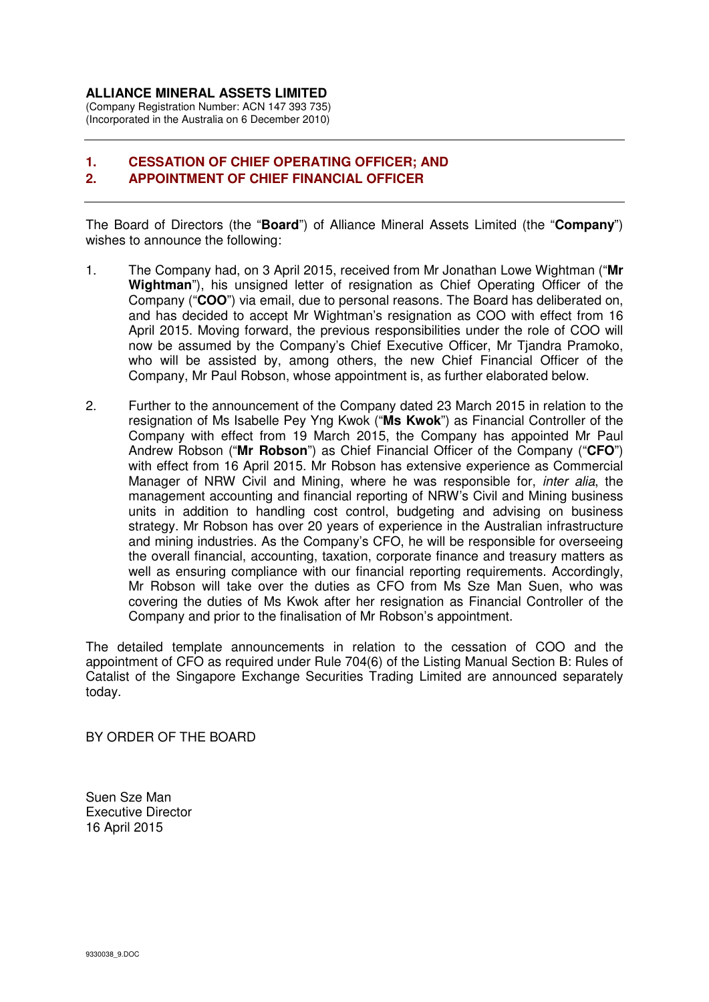## **ALLIANCE MINERAL ASSETS LIMITED**

(Company Registration Number: ACN 147 393 735) (Incorporated in the Australia on 6 December 2010)

## **1. CESSATION OF CHIEF OPERATING OFFICER; AND 2. APPOINTMENT OF CHIEF FINANCIAL OFFICER**

The Board of Directors (the "**Board**") of Alliance Mineral Assets Limited (the "**Company**") wishes to announce the following:

- 1. The Company had, on 3 April 2015, received from Mr Jonathan Lowe Wightman ("**Mr Wightman**"), his unsigned letter of resignation as Chief Operating Officer of the Company ("**COO**") via email, due to personal reasons. The Board has deliberated on, and has decided to accept Mr Wightman's resignation as COO with effect from 16 April 2015. Moving forward, the previous responsibilities under the role of COO will now be assumed by the Company's Chief Executive Officer, Mr Tjandra Pramoko, who will be assisted by, among others, the new Chief Financial Officer of the Company, Mr Paul Robson, whose appointment is, as further elaborated below.
- 2. Further to the announcement of the Company dated 23 March 2015 in relation to the resignation of Ms Isabelle Pey Yng Kwok ("**Ms Kwok**") as Financial Controller of the Company with effect from 19 March 2015, the Company has appointed Mr Paul Andrew Robson ("**Mr Robson**") as Chief Financial Officer of the Company ("**CFO**") with effect from 16 April 2015. Mr Robson has extensive experience as Commercial Manager of NRW Civil and Mining, where he was responsible for, *inter alia*, the management accounting and financial reporting of NRW's Civil and Mining business units in addition to handling cost control, budgeting and advising on business strategy. Mr Robson has over 20 years of experience in the Australian infrastructure and mining industries. As the Company's CFO, he will be responsible for overseeing the overall financial, accounting, taxation, corporate finance and treasury matters as well as ensuring compliance with our financial reporting requirements. Accordingly, Mr Robson will take over the duties as CFO from Ms Sze Man Suen, who was covering the duties of Ms Kwok after her resignation as Financial Controller of the Company and prior to the finalisation of Mr Robson's appointment.

The detailed template announcements in relation to the cessation of COO and the appointment of CFO as required under Rule 704(6) of the Listing Manual Section B: Rules of Catalist of the Singapore Exchange Securities Trading Limited are announced separately today.

BY ORDER OF THE BOARD

Suen Sze Man Executive Director 16 April 2015